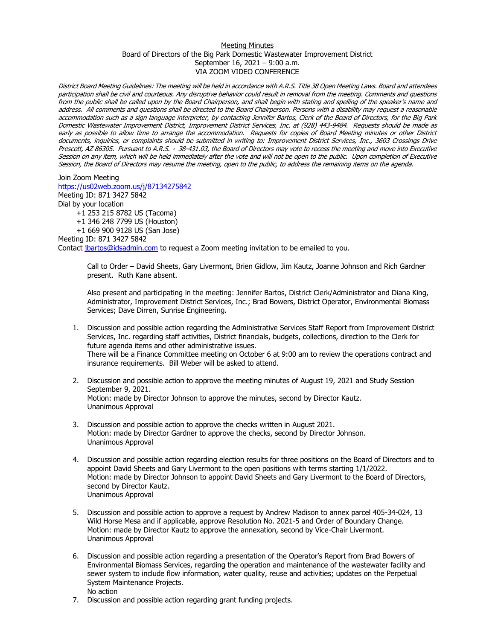## Meeting Minutes Board of Directors of the Big Park Domestic Wastewater Improvement District September 16, 2021 – 9:00 a.m. VIA ZOOM VIDEO CONFERENCE

District Board Meeting Guidelines: The meeting will be held in accordance with A.R.S. Title 38 Open Meeting Laws. Board and attendees participation shall be civil and courteous. Any disruptive behavior could result in removal from the meeting. Comments and questions from the public shall be called upon by the Board Chairperson, and shall begin with stating and spelling of the speaker's name and address. All comments and questions shall be directed to the Board Chairperson. Persons with a disability may request a reasonable accommodation such as a sign language interpreter, by contacting Jennifer Bartos, Clerk of the Board of Directors, for the Big Park Domestic Wastewater Improvement District, Improvement District Services, Inc. at (928) 443-9484. Requests should be made as early as possible to allow time to arrange the accommodation. Requests for copies of Board Meeting minutes or other District documents, inquiries, or complaints should be submitted in writing to: Improvement District Services, Inc., 3603 Crossings Drive Prescott, AZ 86305. Pursuant to A.R.S. · 38-431.03, the Board of Directors may vote to recess the meeting and move into Executive Session on any item, which will be held immediately after the vote and will not be open to the public. Upon completion of Executive Session, the Board of Directors may resume the meeting, open to the public, to address the remaining items on the agenda.

Join Zoom Meeting <https://us02web.zoom.us/j/87134275842>

Meeting ID: 871 3427 5842 Dial by your location

+1 253 215 8782 US (Tacoma) +1 346 248 7799 US (Houston) +1 669 900 9128 US (San Jose)

Meeting ID: 871 3427 5842

Contact [jbartos@idsadmin.com](mailto:jbartos@idsadmin.com) to request a Zoom meeting invitation to be emailed to you.

Call to Order – David Sheets, Gary Livermont, Brien Gidlow, Jim Kautz, Joanne Johnson and Rich Gardner present. Ruth Kane absent.

Also present and participating in the meeting: Jennifer Bartos, District Clerk/Administrator and Diana King, Administrator, Improvement District Services, Inc.; Brad Bowers, District Operator, Environmental Biomass Services; Dave Dirren, Sunrise Engineering.

- 1. Discussion and possible action regarding the Administrative Services Staff Report from Improvement District Services, Inc. regarding staff activities, District financials, budgets, collections, direction to the Clerk for future agenda items and other administrative issues. There will be a Finance Committee meeting on October 6 at 9:00 am to review the operations contract and insurance requirements. Bill Weber will be asked to attend.
- 2. Discussion and possible action to approve the meeting minutes of August 19, 2021 and Study Session September 9, 2021. Motion: made by Director Johnson to approve the minutes, second by Director Kautz. Unanimous Approval
- 3. Discussion and possible action to approve the checks written in August 2021. Motion: made by Director Gardner to approve the checks, second by Director Johnson. Unanimous Approval
- 4. Discussion and possible action regarding election results for three positions on the Board of Directors and to appoint David Sheets and Gary Livermont to the open positions with terms starting 1/1/2022. Motion: made by Director Johnson to appoint David Sheets and Gary Livermont to the Board of Directors, second by Director Kautz. Unanimous Approval
- 5. Discussion and possible action to approve a request by Andrew Madison to annex parcel 405-34-024, 13 Wild Horse Mesa and if applicable, approve Resolution No. 2021-5 and Order of Boundary Change. Motion: made by Director Kautz to approve the annexation, second by Vice-Chair Livermont. Unanimous Approval
- 6. Discussion and possible action regarding a presentation of the Operator's Report from Brad Bowers of Environmental Biomass Services, regarding the operation and maintenance of the wastewater facility and sewer system to include flow information, water quality, reuse and activities; updates on the Perpetual System Maintenance Projects. No action
- 7. Discussion and possible action regarding grant funding projects.